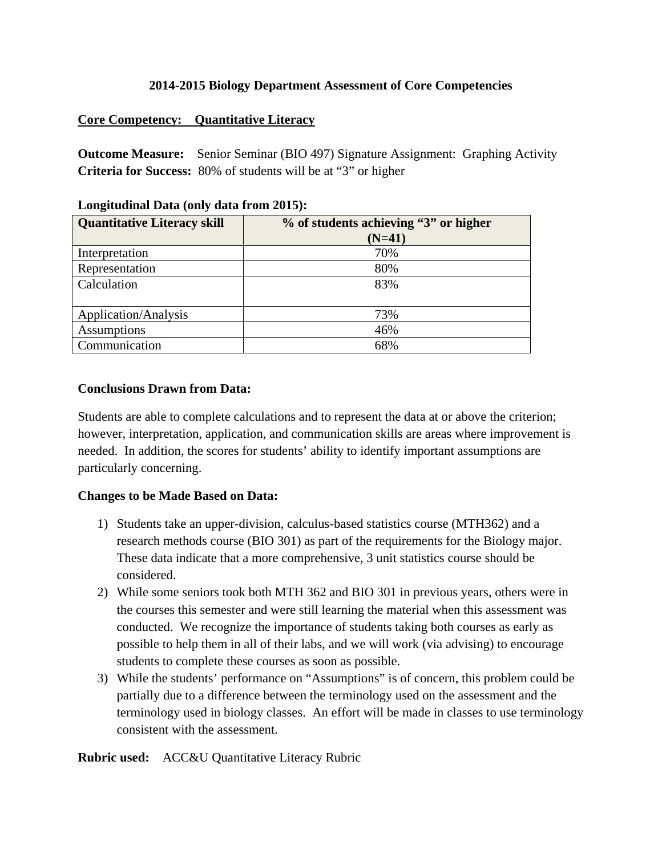### **2014-2015 Biology Department Assessment of Core Competencies**

### **Core Competency: Quantitative Literacy**

**Outcome Measure:** Senior Seminar (BIO 497) Signature Assignment: Graphing Activity **Criteria for Success:** 80% of students will be at "3" or higher

| <b>Quantitative Literacy skill</b> | % of students achieving "3" or higher<br>$(N=41)$ |
|------------------------------------|---------------------------------------------------|
| Interpretation                     | 70%                                               |
| Representation                     | 80%                                               |
| Calculation                        | 83%                                               |
| Application/Analysis               | 73%                                               |
| Assumptions                        | 46%                                               |
| Communication                      | 68%                                               |

### **Longitudinal Data (only data from 2015):**

### **Conclusions Drawn from Data:**

Students are able to complete calculations and to represent the data at or above the criterion; however, interpretation, application, and communication skills are areas where improvement is needed. In addition, the scores for students' ability to identify important assumptions are particularly concerning.

### **Changes to be Made Based on Data:**

- 1) Students take an upper-division, calculus-based statistics course (MTH362) and a research methods course (BIO 301) as part of the requirements for the Biology major. These data indicate that a more comprehensive, 3 unit statistics course should be considered.
- 2) While some seniors took both MTH 362 and BIO 301 in previous years, others were in the courses this semester and were still learning the material when this assessment was conducted. We recognize the importance of students taking both courses as early as possible to help them in all of their labs, and we will work (via advising) to encourage students to complete these courses as soon as possible.
- 3) While the students' performance on "Assumptions" is of concern, this problem could be partially due to a difference between the terminology used on the assessment and the terminology used in biology classes. An effort will be made in classes to use terminology consistent with the assessment.

**Rubric used:** ACC&U Quantitative Literacy Rubric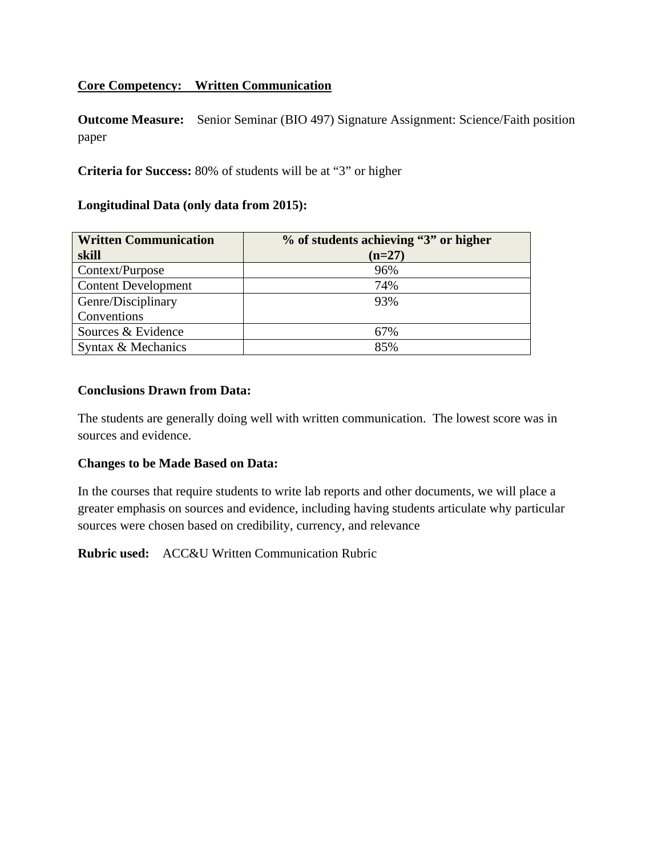# **Core Competency: Written Communication**

**Outcome Measure:** Senior Seminar (BIO 497) Signature Assignment: Science/Faith position paper

## **Criteria for Success:** 80% of students will be at "3" or higher

#### **Longitudinal Data (only data from 2015):**

| <b>Written Communication</b> | % of students achieving "3" or higher |  |  |
|------------------------------|---------------------------------------|--|--|
| skill                        | $(n=27)$                              |  |  |
| Context/Purpose              | 96%                                   |  |  |
| <b>Content Development</b>   | 74%                                   |  |  |
| Genre/Disciplinary           | 93%                                   |  |  |
| Conventions                  |                                       |  |  |
| Sources & Evidence           | 67%                                   |  |  |
| Syntax & Mechanics           | 85%                                   |  |  |

#### **Conclusions Drawn from Data:**

The students are generally doing well with written communication. The lowest score was in sources and evidence.

### **Changes to be Made Based on Data:**

In the courses that require students to write lab reports and other documents, we will place a greater emphasis on sources and evidence, including having students articulate why particular sources were chosen based on credibility, currency, and relevance

**Rubric used:** ACC&U Written Communication Rubric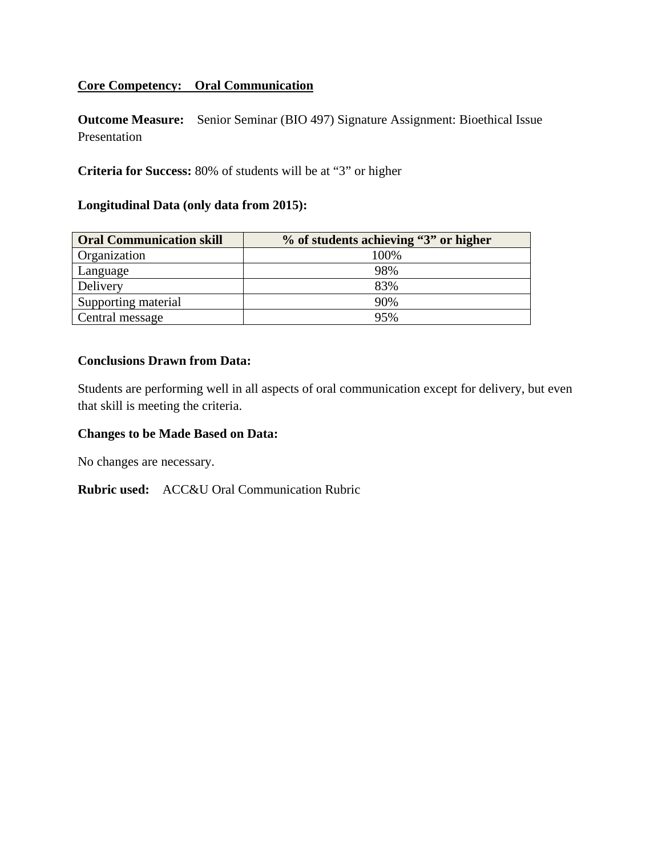## **Core Competency: Oral Communication**

**Outcome Measure:** Senior Seminar (BIO 497) Signature Assignment: Bioethical Issue Presentation

**Criteria for Success:** 80% of students will be at "3" or higher

# **Longitudinal Data (only data from 2015):**

| <b>Oral Communication skill</b> | % of students achieving "3" or higher |  |  |
|---------------------------------|---------------------------------------|--|--|
| Organization                    | 100%                                  |  |  |
| Language                        | 98%                                   |  |  |
| Delivery                        | 83%                                   |  |  |
| Supporting material             | 90%                                   |  |  |
| Central message                 | 95%                                   |  |  |

#### **Conclusions Drawn from Data:**

Students are performing well in all aspects of oral communication except for delivery, but even that skill is meeting the criteria.

#### **Changes to be Made Based on Data:**

No changes are necessary.

**Rubric used:** ACC&U Oral Communication Rubric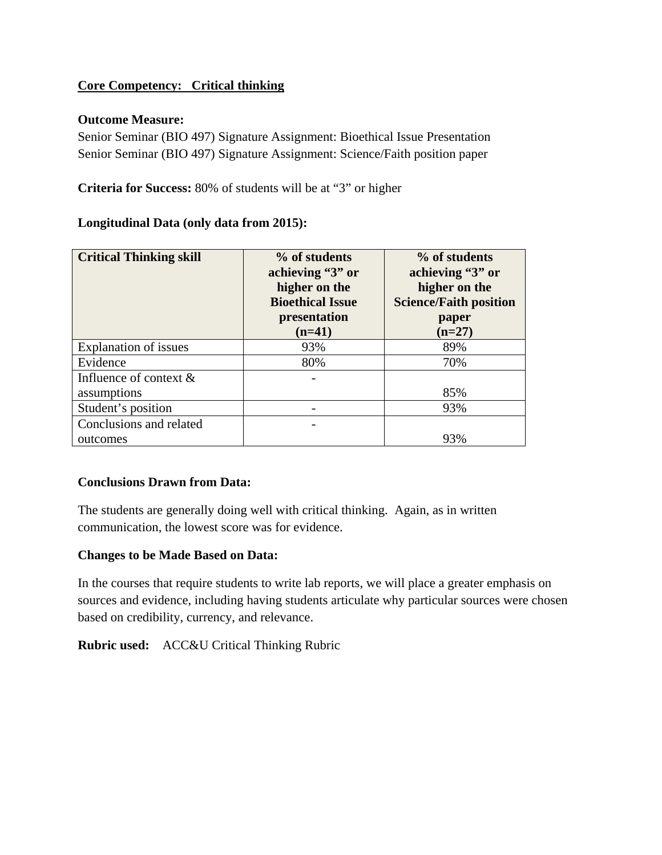# **Core Competency: Critical thinking**

### **Outcome Measure:**

Senior Seminar (BIO 497) Signature Assignment: Bioethical Issue Presentation Senior Seminar (BIO 497) Signature Assignment: Science/Faith position paper

**Criteria for Success:** 80% of students will be at "3" or higher

### **Longitudinal Data (only data from 2015):**

| <b>Critical Thinking skill</b> | % of students<br>achieving "3" or<br>higher on the<br><b>Bioethical Issue</b><br>presentation<br>$(n=41)$ | % of students<br>achieving "3" or<br>higher on the<br><b>Science/Faith position</b><br>paper<br>$(n=27)$ |
|--------------------------------|-----------------------------------------------------------------------------------------------------------|----------------------------------------------------------------------------------------------------------|
| <b>Explanation of issues</b>   | 93%                                                                                                       | 89%                                                                                                      |
| Evidence                       | 80%                                                                                                       | 70%                                                                                                      |
| Influence of context $\&$      |                                                                                                           |                                                                                                          |
| assumptions                    |                                                                                                           | 85%                                                                                                      |
| Student's position             |                                                                                                           | 93%                                                                                                      |
| Conclusions and related        |                                                                                                           |                                                                                                          |
| outcomes                       |                                                                                                           | 93%                                                                                                      |

### **Conclusions Drawn from Data:**

The students are generally doing well with critical thinking. Again, as in written communication, the lowest score was for evidence.

### **Changes to be Made Based on Data:**

In the courses that require students to write lab reports, we will place a greater emphasis on sources and evidence, including having students articulate why particular sources were chosen based on credibility, currency, and relevance.

**Rubric used:** ACC&U Critical Thinking Rubric